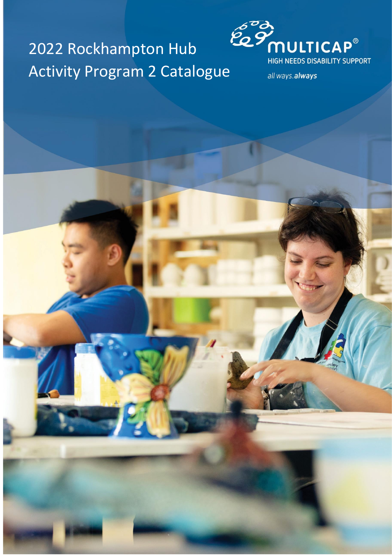# 2022 Rockhampton Hub Activity Program 2 Catalogue



all ways.always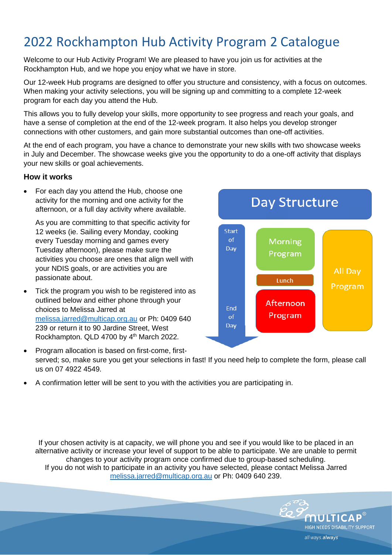# 2022 Rockhampton Hub Activity Program 2 Catalogue

Welcome to our Hub Activity Program! We are pleased to have you join us for activities at the Rockhampton Hub, and we hope you enjoy what we have in store.

Our 12-week Hub programs are designed to offer you structure and consistency, with a focus on outcomes. When making your activity selections, you will be signing up and committing to a complete 12-week program for each day you attend the Hub.

This allows you to fully develop your skills, more opportunity to see progress and reach your goals, and have a sense of completion at the end of the 12-week program. It also helps you develop stronger connections with other customers, and gain more substantial outcomes than one-off activities.

At the end of each program, you have a chance to demonstrate your new skills with two showcase weeks in July and December. The showcase weeks give you the opportunity to do a one-off activity that displays your new skills or goal achievements.

#### **How it works**

• For each day you attend the Hub, choose one activity for the morning and one activity for the afternoon, or a full day activity where available.

As you are committing to that specific activity for 12 weeks (ie. Sailing every Monday, cooking every Tuesday morning and games every Tuesday afternoon), please make sure the activities you choose are ones that align well with your NDIS goals, or are activities you are passionate about.

Tick the program you wish to be registered into as outlined below and either phone through your choices to Melissa Jarred at [melissa.jarred@multicap.org.au](mailto:melissa.jarred@multicap.org.au) or Ph: 0409 640 239 or return it to 90 Jardine Street, West Rockhampton. QLD 4700 by 4<sup>th</sup> March 2022.



- Program allocation is based on first-come, firstserved; so, make sure you get your selections in fast! If you need help to complete the form, please call us on 07 4922 4549.
- A confirmation letter will be sent to you with the activities you are participating in.

If your chosen activity is at capacity, we will phone you and see if you would like to be placed in an alternative activity or increase your level of support to be able to participate. We are unable to permit changes to your activity program once confirmed due to group-based scheduling. If you do not wish to participate in an activity you have selected, please contact Melissa Jarred [melissa.jarred@multicap.org.au](mailto:melissa.jarred@multicap.org.au) or Ph: 0409 640 239.

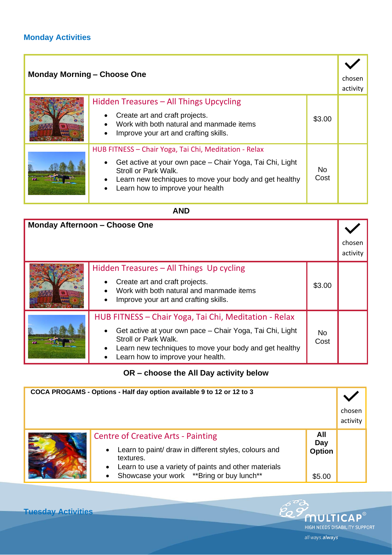#### **Monday Activities**

| <b>Monday Morning - Choose One</b> |                                                                                                                                                                                                                                                                                |             | chosen<br>activity |
|------------------------------------|--------------------------------------------------------------------------------------------------------------------------------------------------------------------------------------------------------------------------------------------------------------------------------|-------------|--------------------|
|                                    | Hidden Treasures - All Things Upcycling<br>Create art and craft projects.<br>$\bullet$<br>Work with both natural and manmade items<br>Improve your art and crafting skills.<br>$\bullet$                                                                                       | \$3.00      |                    |
|                                    | HUB FITNESS - Chair Yoga, Tai Chi, Meditation - Relax<br>Get active at your own pace – Chair Yoga, Tai Chi, Light<br>$\bullet$<br>Stroll or Park Walk.<br>Learn new techniques to move your body and get healthy<br>$\bullet$<br>Learn how to improve your health<br>$\bullet$ | No.<br>Cost |                    |

#### **AND**

| <b>Monday Afternoon - Choose One</b> |                                                                                                                                                                                                                                                       |             |                    |
|--------------------------------------|-------------------------------------------------------------------------------------------------------------------------------------------------------------------------------------------------------------------------------------------------------|-------------|--------------------|
|                                      |                                                                                                                                                                                                                                                       |             | chosen<br>activity |
|                                      | Hidden Treasures – All Things Up cycling<br>Create art and craft projects.<br>$\bullet$<br>Work with both natural and manmade items<br>Improve your art and crafting skills.<br>$\bullet$                                                             | \$3.00      |                    |
|                                      | HUB FITNESS – Chair Yoga, Tai Chi, Meditation - Relax<br>Get active at your own pace - Chair Yoga, Tai Chi, Light<br>$\bullet$<br>Stroll or Park Walk.<br>Learn new techniques to move your body and get healthy<br>Learn how to improve your health. | No.<br>Cost |                    |

**OR – choose the All Day activity below**

| COCA PROGAMS - Options - Half day option available 9 to 12 or 12 to 3 |                                                                                                                                                                                                                                                |                                       |                    |
|-----------------------------------------------------------------------|------------------------------------------------------------------------------------------------------------------------------------------------------------------------------------------------------------------------------------------------|---------------------------------------|--------------------|
|                                                                       |                                                                                                                                                                                                                                                |                                       | chosen<br>activity |
|                                                                       | <b>Centre of Creative Arts - Painting</b><br>Learn to paint/ draw in different styles, colours and<br>$\bullet$<br>textures.<br>Learn to use a variety of paints and other materials<br>Showcase your work **Bring or buy lunch**<br>$\bullet$ | All<br>Day<br><b>Option</b><br>\$5.00 |                    |

Po 9

MULTICAP® HIGH NEEDS DISABILITY SUPPORT

all ways.always

**Tuesday Activities**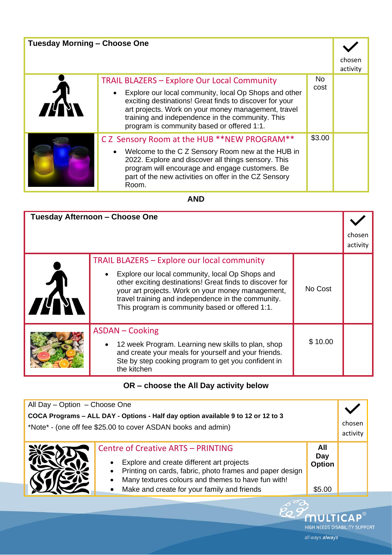| <b>Tuesday Morning - Choose One</b> |                                                                                                                                                                                                                                                                                        |             |                    |
|-------------------------------------|----------------------------------------------------------------------------------------------------------------------------------------------------------------------------------------------------------------------------------------------------------------------------------------|-------------|--------------------|
|                                     |                                                                                                                                                                                                                                                                                        |             | chosen<br>activity |
|                                     | <b>TRAIL BLAZERS - Explore Our Local Community</b>                                                                                                                                                                                                                                     | No.<br>cost |                    |
|                                     | Explore our local community, local Op Shops and other<br>$\bullet$<br>exciting destinations! Great finds to discover for your<br>art projects. Work on your money management, travel<br>training and independence in the community. This<br>program is community based or offered 1:1. |             |                    |
|                                     | CZ Sensory Room at the HUB **NEW PROGRAM**                                                                                                                                                                                                                                             | \$3.00      |                    |
|                                     | Welcome to the C Z Sensory Room new at the HUB in<br>$\bullet$<br>2022. Explore and discover all things sensory. This<br>program will encourage and engage customers. Be<br>part of the new activities on offer in the CZ Sensory<br>Room.                                             |             |                    |

**AND**

| Tuesday Afternoon - Choose One                                                                                                                                                                                                                                                                                                  |         | choser<br>activity |
|---------------------------------------------------------------------------------------------------------------------------------------------------------------------------------------------------------------------------------------------------------------------------------------------------------------------------------|---------|--------------------|
| <b>TRAIL BLAZERS - Explore our local community</b><br>Explore our local community, local Op Shops and<br>other exciting destinations! Great finds to discover for<br>your art projects. Work on your money management,<br>travel training and independence in the community.<br>This program is community based or offered 1:1. | No Cost |                    |
| <b>ASDAN – Cooking</b><br>12 week Program. Learning new skills to plan, shop<br>and create your meals for yourself and your friends.<br>Ste by step cooking program to get you confident in<br>the kitchen                                                                                                                      | \$10.00 |                    |

## **OR – choose the All Day activity below**

| All Day - Option - Choose One                                                                                                                     |                                                                                                                                                                                                          |                             |                    |
|---------------------------------------------------------------------------------------------------------------------------------------------------|----------------------------------------------------------------------------------------------------------------------------------------------------------------------------------------------------------|-----------------------------|--------------------|
| COCA Programs - ALL DAY - Options - Half day option available 9 to 12 or 12 to 3<br>*Note* - (one off fee \$25.00 to cover ASDAN books and admin) |                                                                                                                                                                                                          |                             | chosen<br>activity |
|                                                                                                                                                   | <b>Centre of Creative ARTS - PRINTING</b><br>Explore and create different art projects<br>Printing on cards, fabric, photo frames and paper design<br>Many textures colours and themes to have fun with! | All<br>Day<br><b>Option</b> |                    |
|                                                                                                                                                   | Make and create for your family and friends                                                                                                                                                              | \$5.00                      |                    |

**MULTICAP®** HIGH NEEDS DISABILITY SUPPORT

all ways.always

 $\widetilde{\mathscr{C}}_{\!\!\mathcal{O}}$  S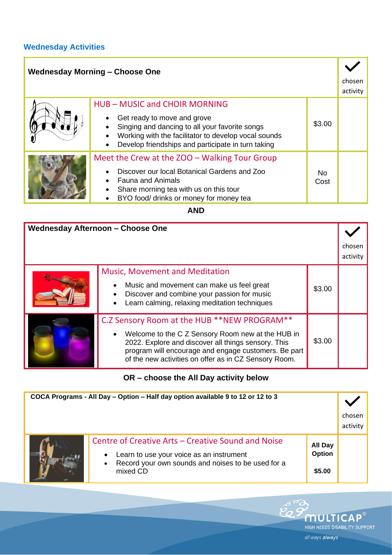#### **Wednesday Activities**

| <b>Wednesday Morning - Choose One</b> |                                                                                                                                                                                             |                        |                    |
|---------------------------------------|---------------------------------------------------------------------------------------------------------------------------------------------------------------------------------------------|------------------------|--------------------|
|                                       |                                                                                                                                                                                             |                        | chosen<br>activity |
|                                       | <b>HUB-MUSIC and CHOIR MORNING</b>                                                                                                                                                          |                        |                    |
|                                       | Get ready to move and grove<br>Singing and dancing to all your favorite songs<br>Working with the facilitator to develop vocal sounds<br>Develop friendships and participate in turn taking | \$3.00                 |                    |
|                                       | Meet the Crew at the ZOO - Walking Tour Group                                                                                                                                               |                        |                    |
|                                       | Discover our local Botanical Gardens and Zoo<br><b>Fauna and Animals</b><br>Share morning tea with us on this tour<br>BYO food/ drinks or money for money tea                               | N <sub>o</sub><br>Cost |                    |

**AND**

| <b>Wednesday Afternoon - Choose One</b> |                                                                                                                                                                                                                                                                          |        |                    |
|-----------------------------------------|--------------------------------------------------------------------------------------------------------------------------------------------------------------------------------------------------------------------------------------------------------------------------|--------|--------------------|
|                                         |                                                                                                                                                                                                                                                                          |        | chosen<br>activity |
|                                         | <b>Music, Movement and Meditation</b><br>Music and movement can make us feel great<br>Discover and combine your passion for music<br>Learn calming, relaxing meditation techniques                                                                                       | \$3.00 |                    |
|                                         | C.Z Sensory Room at the HUB **NEW PROGRAM**<br>Welcome to the C Z Sensory Room new at the HUB in<br>2022. Explore and discover all things sensory. This<br>program will encourage and engage customers. Be part<br>of the new activities on offer as in CZ Sensory Room. | \$3.00 |                    |

## **OR – choose the All Day activity below**

| COCA Programs - All Day - Option - Half day option available 9 to 12 or 12 to 3 |                                                                                                                                                                                            |                                    |                    |
|---------------------------------------------------------------------------------|--------------------------------------------------------------------------------------------------------------------------------------------------------------------------------------------|------------------------------------|--------------------|
|                                                                                 |                                                                                                                                                                                            |                                    | chosen<br>activity |
|                                                                                 | Centre of Creative Arts - Creative Sound and Noise<br>Learn to use your voice as an instrument<br>$\bullet$<br>Record your own sounds and noises to be used for a<br>$\bullet$<br>mixed CD | <b>All Day</b><br>Option<br>\$5.00 |                    |

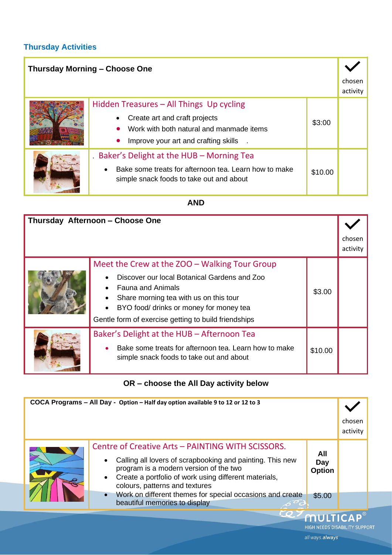#### **Thursday Activities**

| <b>Thursday Morning - Choose One</b> |                                                                                                                                                               |         |                    |
|--------------------------------------|---------------------------------------------------------------------------------------------------------------------------------------------------------------|---------|--------------------|
|                                      |                                                                                                                                                               |         | chosen<br>activity |
|                                      | Hidden Treasures - All Things Up cycling<br>Create art and craft projects<br>Work with both natural and manmade items<br>Improve your art and crafting skills | \$3:00  |                    |
|                                      | Baker's Delight at the HUB – Morning Tea<br>Bake some treats for afternoon tea. Learn how to make<br>simple snack foods to take out and about                 | \$10.00 |                    |

#### **AND**

| Thursday Afternoon - Choose One |                                                                                                                                                 |         |                    |
|---------------------------------|-------------------------------------------------------------------------------------------------------------------------------------------------|---------|--------------------|
|                                 |                                                                                                                                                 |         | chosen<br>activity |
|                                 | Meet the Crew at the ZOO - Walking Tour Group<br>Discover our local Botanical Gardens and Zoo<br><b>Fauna and Animals</b>                       | \$3.00  |                    |
|                                 | Share morning tea with us on this tour<br>BYO food/ drinks or money for money tea<br>Gentle form of exercise getting to build friendships       |         |                    |
|                                 | Baker's Delight at the HUB - Afternoon Tea<br>Bake some treats for afternoon tea. Learn how to make<br>simple snack foods to take out and about | \$10.00 |                    |

# **OR – choose the All Day activity below**

| COCA Programs - All Day - Option - Half day option available 9 to 12 or 12 to 3 |                                                                                                                                                                                                                                                                               |                             |                                     |
|---------------------------------------------------------------------------------|-------------------------------------------------------------------------------------------------------------------------------------------------------------------------------------------------------------------------------------------------------------------------------|-----------------------------|-------------------------------------|
|                                                                                 |                                                                                                                                                                                                                                                                               |                             | chosen<br>activity                  |
|                                                                                 | Centre of Creative Arts - PAINTING WITH SCISSORS.<br>Calling all lovers of scrapbooking and painting. This new<br>$\bullet$<br>program is a modern version of the two<br>Create a portfolio of work using different materials,<br>$\bullet$<br>colours, patterns and textures | All<br>Day<br><b>Option</b> |                                     |
|                                                                                 | Work on different themes for special occasions and create<br>$\bullet$<br>beautiful memories to display                                                                                                                                                                       | \$5.00                      |                                     |
|                                                                                 | <b>CO.</b>                                                                                                                                                                                                                                                                    | <b>MULTICAP®</b>            | <b>HIGH NEEDS DISABILITY SUPPOR</b> |

all ways.always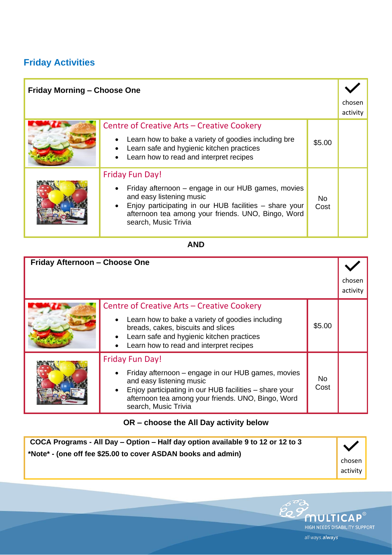# **Friday Activities**

| <b>Friday Morning - Choose One</b> |                                                                                                                                                                                                                                                  |             |                    |
|------------------------------------|--------------------------------------------------------------------------------------------------------------------------------------------------------------------------------------------------------------------------------------------------|-------------|--------------------|
|                                    |                                                                                                                                                                                                                                                  |             | chosen<br>activity |
|                                    | Centre of Creative Arts – Creative Cookery<br>Learn how to bake a variety of goodies including bre<br>Learn safe and hygienic kitchen practices<br>Learn how to read and interpret recipes                                                       | \$5.00      |                    |
|                                    | <b>Friday Fun Day!</b><br>Friday afternoon – engage in our HUB games, movies<br>and easy listening music<br>Enjoy participating in our HUB facilities - share your<br>afternoon tea among your friends. UNO, Bingo, Word<br>search, Music Trivia | No.<br>Cost |                    |

#### **AND**

| Friday Afternoon - Choose One |                                                                                                                                                                                                                                                  |             | chosen<br>activity |
|-------------------------------|--------------------------------------------------------------------------------------------------------------------------------------------------------------------------------------------------------------------------------------------------|-------------|--------------------|
|                               | Centre of Creative Arts - Creative Cookery<br>Learn how to bake a variety of goodies including<br>breads, cakes, biscuits and slices<br>Learn safe and hygienic kitchen practices<br>Learn how to read and interpret recipes                     | \$5.00      |                    |
|                               | <b>Friday Fun Day!</b><br>Friday afternoon – engage in our HUB games, movies<br>and easy listening music<br>Enjoy participating in our HUB facilities - share your<br>afternoon tea among your friends. UNO, Bingo, Word<br>search, Music Trivia | No.<br>Cost |                    |

## **OR – choose the All Day activity below**

| COCA Programs - All Day - Option - Half day option available 9 to 12 or 12 to 3<br>*Note* - (one off fee \$25.00 to cover ASDAN books and admin) |          |
|--------------------------------------------------------------------------------------------------------------------------------------------------|----------|
|                                                                                                                                                  | chosen   |
|                                                                                                                                                  | activity |

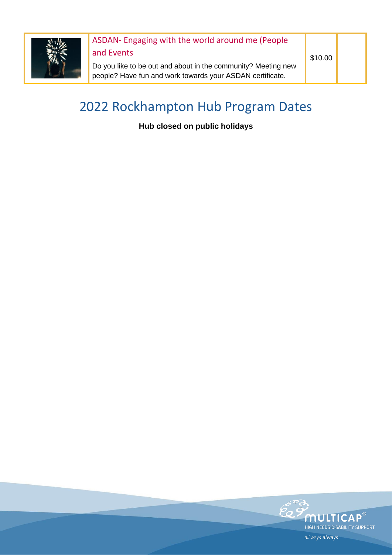

# ASDAN- Engaging with the world around me (People

and Events

Do you like to be out and about in the community? Meeting new people? Have fun and work towards your ASDAN certificate.

\$10.00

# 2022 Rockhampton Hub Program Dates

**Hub closed on public holidays**